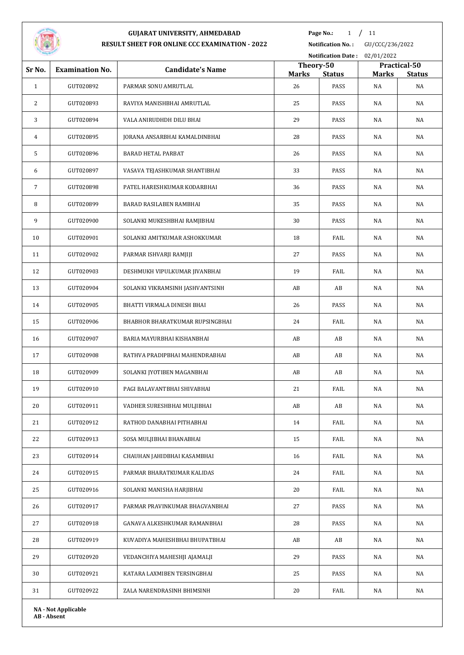

**Page No.:** 1 / 11

**Notification No. :** GU/CCC/236/2022

|              |                            |                                 |                    | <b>Notification Date:</b> | 02/01/2022         |                     |
|--------------|----------------------------|---------------------------------|--------------------|---------------------------|--------------------|---------------------|
| Sr No.       | <b>Examination No.</b>     | <b>Candidate's Name</b>         | Theory-50          |                           |                    | Practical-50        |
| $\mathbf{1}$ | GUT020892                  | PARMAR SONU AMRUTLAL            | <b>Marks</b><br>26 | <b>Status</b><br>PASS     | <b>Marks</b><br>NA | <b>Status</b><br>NA |
| 2            | GUT020893                  | RAVIYA MANISHBHAI AMRUTLAL      | 25                 | PASS                      | NA                 | NA                  |
| 3            | GUT020894                  | VALA ANIRUDHDH DILU BHAI        | 29                 | PASS                      | NA                 | NA                  |
| 4            | GUT020895                  | JORANA ANSARBHAI KAMALDINBHAI   | 28                 | PASS                      | NA                 | NA                  |
| 5            | GUT020896                  | <b>BARAD HETAL PARBAT</b>       | 26                 | PASS                      | NA                 | NA                  |
| 6            | GUT020897                  | VASAVA TEJASHKUMAR SHANTIBHAI   | 33                 | PASS                      | NA                 | NA                  |
| 7            | GUT020898                  | PATEL HARESHKUMAR KODARBHAI     | 36                 | PASS                      | NA                 | NA                  |
| 8            | GUT020899                  | BARAD RASILABEN RAMBHAI         | 35                 | PASS                      | NA                 | NA                  |
| 9            | GUT020900                  | SOLANKI MUKESHBHAI RAMJIBHAI    | 30                 | PASS                      | NA                 | NA                  |
| 10           | GUT020901                  | SOLANKI AMITKUMAR ASHOKKUMAR    | 18                 | FAIL                      | NA                 | NA                  |
| 11           | GUT020902                  | PARMAR ISHVARJI RAMJIJI         | 27                 | PASS                      | NA                 | NA                  |
| 12           | GUT020903                  | DESHMUKH VIPULKUMAR JIVANBHAI   | 19                 | FAIL                      | NA                 | NA                  |
| 13           | GUT020904                  | SOLANKI VIKRAMSINH JASHVANTSINH | AB                 | AB                        | NA                 | NA                  |
| 14           | GUT020905                  | BHATTI VIRMALA DINESH BHAI      | 26                 | PASS                      | NA                 | NA                  |
| 15           | GUT020906                  | BHABHOR BHARATKUMAR RUPSINGBHAI | 24                 | FAIL                      | NA                 | NA                  |
| 16           | GUT020907                  | BARIA MAYURBHAI KISHANBHAI      | AB                 | AB                        | NA                 | NA                  |
| 17           | GUT020908                  | RATHVA PRADIPBHAI MAHENDRABHAI  | AB                 | AB                        | NA                 | NA                  |
| 18           | GUT020909                  | SOLANKI JYOTIBEN MAGANBHAI      | AB                 | AB                        | NA                 | NA                  |
| 19           | GUT020910                  | PAGI BALAVANTBHAI SHIVABHAI     | 21                 | FAIL                      | NA                 | NA                  |
| 20           | GUT020911                  | VADHER SURESHBHAI MULJIBHAI     | AB                 | $\mathbf{A}\mathbf{B}$    | NA                 | NA                  |
| 21           | GUT020912                  | RATHOD DANABHAI PITHABHAI       | 14                 | FAIL                      | NA                 | NA                  |
| 22           | GUT020913                  | SOSA MULJIBHAI BHANABHAI        | 15                 | FAIL                      | NA                 | NA                  |
| 23           | GUT020914                  | CHAUHAN JAHIDBHAI KASAMBHAI     | 16                 | FAIL                      | NA                 | NA                  |
| 24           | GUT020915                  | PARMAR BHARATKUMAR KALIDAS      | 24                 | FAIL                      | NA                 | NA                  |
| 25           | GUT020916                  | SOLANKI MANISHA HARJIBHAI       | 20                 | FAIL                      | NA                 | NA                  |
| 26           | GUT020917                  | PARMAR PRAVINKUMAR BHAGVANBHAI  | 27                 | PASS                      | NA                 | NA                  |
| 27           | GUT020918                  | GANAVA ALKESHKUMAR RAMANBHAI    | 28                 | PASS                      | NA                 | NA                  |
| 28           | GUT020919                  | KUVADIYA MAHESHBHAI BHUPATBHAI  | AB                 | AB                        | NA                 | NA                  |
| 29           | GUT020920                  | VEDANCHIYA MAHESHJI AJAMALJI    | 29                 | PASS                      | NA                 | NA                  |
| 30           | GUT020921                  | KATARA LAXMIBEN TERSINGBHAI     | 25                 | PASS                      | NA                 | NA                  |
| 31           | GUT020922                  | ZALA NARENDRASINH BHIMSINH      | 20                 | FAIL                      | NA                 | NA                  |
|              | <b>NA - Not Applicable</b> |                                 |                    |                           |                    |                     |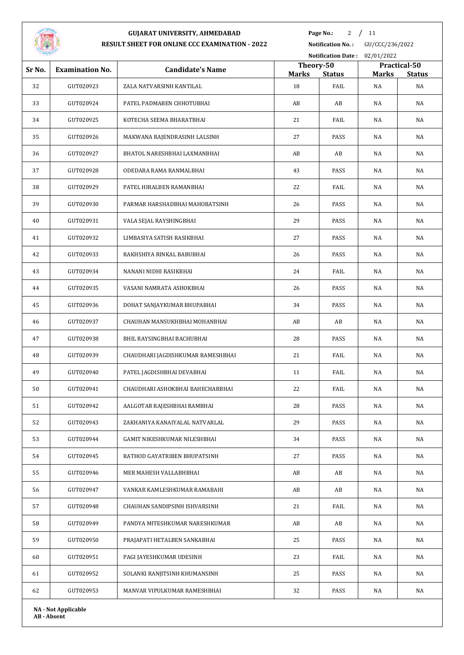

**Page No.:** / 11

**Notification No. :** GU/CCC/236/2022

|        |                            |                                   |              | Notification Date: 02/01/2022 |              |               |
|--------|----------------------------|-----------------------------------|--------------|-------------------------------|--------------|---------------|
| Sr No. | <b>Examination No.</b>     | <b>Candidate's Name</b>           | Theory-50    |                               |              | Practical-50  |
|        |                            |                                   | <b>Marks</b> | <b>Status</b>                 | <b>Marks</b> | <b>Status</b> |
| 32     | GUT020923                  | ZALA NATVARSINH KANTILAL          | 18           | FAIL                          | NA           | NA            |
| 33     | GUT020924                  | PATEL PADMABEN CHHOTUBHAI         | AB           | AB                            | NA           | NA            |
| 34     | GUT020925                  | KOTECHA SEEMA BHARATBHAI          | 21           | FAIL                          | NA           | NA            |
| 35     | GUT020926                  | MAKWANA RAJENDRASINH LALSINH      | 27           | PASS                          | NA           | NA            |
| 36     | GUT020927                  | BHATOL NARESHBHAI LAXMANBHAI      | AB           | AB                            | NA           | NA            |
| 37     | GUT020928                  | ODEDARA RAMA RANMALBHAI           | 43           | PASS                          | NA           | NA            |
| 38     | GUT020929                  | PATEL HIRALBEN RAMANBHAI          | 22           | FAIL                          | NA           | NA            |
| 39     | GUT020930                  | PARMAR HARSHADBHAI MAHOBATSINH    | 26           | PASS                          | NA           | NA            |
| 40     | GUT020931                  | VALA SEJAL RAYSHINGBHAI           | 29           | PASS                          | NA           | NA            |
| 41     | GUT020932                  | LIMBASIYA SATISH RASIKBHAI        | 27           | PASS                          | NA           | NA            |
| 42     | GUT020933                  | RAKHSHIYA RINKAL BABUBHAI         | 26           | PASS                          | NA           | NA            |
| 43     | GUT020934                  | NANANI NIDHI RASIKBHAI            | 24           | FAIL                          | NA           | NA            |
| 44     | GUT020935                  | VASANI NAMRATA ASHOKBHAI          | 26           | PASS                          | NA           | NA            |
| 45     | GUT020936                  | DOHAT SANJAYKUMAR BHUPABHAI       | 34           | PASS                          | NA           | NA            |
| 46     | GUT020937                  | CHAUHAN MANSUKHBHAI MOHANBHAI     | AB           | AB                            | NA           | NA            |
| 47     | GUT020938                  | BHIL RAYSINGBHAI BACHUBHAI        | 28           | PASS                          | NA           | NA            |
| 48     | GUT020939                  | CHAUDHARI JAGDISHKUMAR RAMESHBHAI | 21           | FAIL                          | NA           | NA            |
| 49     | GUT020940                  | PATEL JAGDISHBHAI DEVABHAI        | 11           | FAIL                          | NA           | NA            |
| 50     | GUT020941                  | CHAUDHARI ASHOKBHAI BAHECHARBHAI  | 22           | FAIL                          | NA           | NA            |
| 51     | GUT020942                  | AALGOTAR RAJESHBHAI RAMBHAI       | 28           | PASS                          | $_{\rm NA}$  | NA            |
| 52     | GUT020943                  | ZAKHANIYA KANAIYALAL NATVARLAL    | 29           | PASS                          | NA           | NA            |
| 53     | GUT020944                  | GAMIT NIKESHKUMAR NILESHBHAI      | 34           | PASS                          | NA           | NA            |
| 54     | GUT020945                  | RATHOD GAYATRIBEN BHUPATSINH      | 27           | PASS                          | NA           | NA            |
| 55     | GUT020946                  | MER MAHESH VALLABHBHAI            | AB           | AB                            | NA           | NA            |
| 56     | GUT020947                  | VANKAR KAMLESHKUMAR RAMABAHI      | AB           | AB                            | NA           | NA            |
| 57     | GUT020948                  | CHAUHAN SANDIPSINH ISHVARSINH     | 21           | FAIL                          | NA           | NA            |
| 58     | GUT020949                  | PANDYA MITESHKUMAR NARESHKUMAR    | AB           | AB                            | NA           | NA            |
| 59     | GUT020950                  | PRAJAPATI HETALBEN SANKABHAI      | 25           | PASS                          | NA           | NA            |
| 60     | GUT020951                  | PAGI JAYESHKUMAR UDESINH          | 23           | FAIL                          | NA           | NA            |
| 61     | GUT020952                  | SOLANKI RANJITSINH KHUMANSINH     | 25           | PASS                          | NA           | NA            |
| 62     | GUT020953                  | MANVAR VIPULKUMAR RAMESHBHAI      | 32           | PASS                          | NA           | NA            |
|        | <b>NA - Not Applicable</b> |                                   |              |                               |              |               |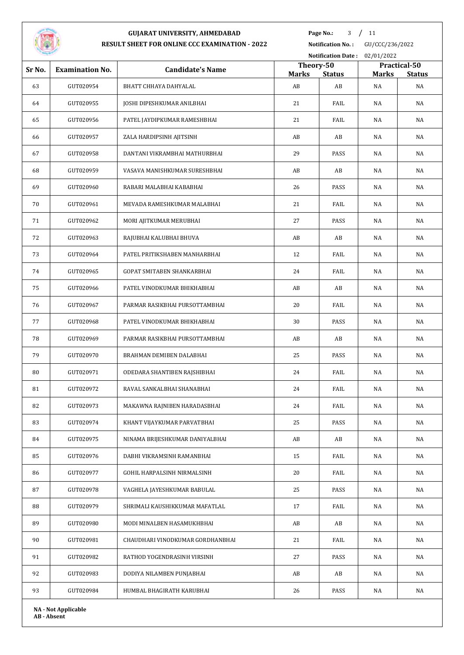

**Page No.:** / 11

**Notification No. :** GU/CCC/236/2022

|        |                            |                                   |                    | <b>Notification Date:</b> | 02/01/2022         |                     |
|--------|----------------------------|-----------------------------------|--------------------|---------------------------|--------------------|---------------------|
| Sr No. | <b>Examination No.</b>     | <b>Candidate's Name</b>           | Theory-50          |                           |                    | Practical-50        |
| 63     | GUT020954                  | BHATT CHHAYA DAHYALAL             | <b>Marks</b><br>AB | <b>Status</b><br>AB       | <b>Marks</b><br>NA | <b>Status</b><br>NA |
| 64     | GUT020955                  | JOSHI DIPESHKUMAR ANILBHAI        | 21                 | FAIL                      | NA                 | NA                  |
| 65     | GUT020956                  | PATEL JAYDIPKUMAR RAMESHBHAI      | 21                 | FAIL                      | NA                 | NA                  |
|        |                            |                                   |                    |                           |                    |                     |
| 66     | GUT020957                  | ZALA HARDIPSINH AJITSINH          | AB                 | AB                        | NA                 | NA                  |
| 67     | GUT020958                  | DANTANI VIKRAMBHAI MATHURBHAI     | 29                 | PASS                      | NA                 | NA                  |
| 68     | GUT020959                  | VASAVA MANISHKUMAR SURESHBHAI     | AB                 | AB                        | NA                 | NA                  |
| 69     | GUT020960                  | RABARI MALABHAI KABABHAI          | 26                 | PASS                      | NA                 | NA                  |
| 70     | GUT020961                  | MEVADA RAMESHKUMAR MALABHAI       | 21                 | FAIL                      | NA                 | NA                  |
| 71     | GUT020962                  | MORI AJITKUMAR MERUBHAI           | 27                 | PASS                      | NA                 | NA                  |
| 72     | GUT020963                  | RAJUBHAI KALUBHAI BHUVA           | AB                 | AB                        | NA                 | NA                  |
| 73     | GUT020964                  | PATEL PRITIKSHABEN MANHARBHAI     | 12                 | FAIL                      | NA                 | NA                  |
| 74     | GUT020965                  | <b>GOPAT SMITABEN SHANKARBHAI</b> | 24                 | FAIL                      | NA                 | NA                  |
| 75     | GUT020966                  | PATEL VINODKUMAR BHIKHABHAI       | AB                 | AB                        | NA                 | NA                  |
| 76     | GUT020967                  | PARMAR RASIKBHAI PURSOTTAMBHAI    | 20                 | FAIL                      | NA                 | NA                  |
| 77     | GUT020968                  | PATEL VINODKUMAR BHIKHABHAI       | 30                 | PASS                      | NA                 | NA                  |
| 78     | GUT020969                  | PARMAR RASIKBHAI PURSOTTAMBHAI    | AB                 | AB                        | NA                 | NA                  |
| 79     | GUT020970                  | BRAHMAN DEMIBEN DALABHAI          | 25                 | PASS                      | NA                 | NA                  |
| 80     | GUT020971                  | ODEDARA SHANTIBEN RAJSHIBHAI      | 24                 | FAIL                      | NA                 | NA                  |
| 81     | GUT020972                  | RAVAL SANKALBHAI SHANABHAI        | 24                 | FAIL                      | NA                 | NA                  |
| 82     | GUT020973                  | MAKAWNA RAJNIBEN HARADASBHAI      | 24                 | FAIL                      | NA                 | NA                  |
| 83     | GUT020974                  | KHANT VIJAYKUMAR PARVATBHAI       | 25                 | PASS                      | NA                 | NA                  |
| 84     | GUT020975                  | NINAMA BRIJESHKUMAR DANIYALBHAI   | AB                 | AB                        | NA                 | NA                  |
| 85     | GUT020976                  | DABHI VIKRAMSINH RAMANBHAI        | 15                 | FAIL                      | NA                 | NA                  |
| 86     | GUT020977                  | GOHIL HARPALSINH NIRMALSINH       | 20                 | FAIL                      | NA                 | NA                  |
| 87     | GUT020978                  | VAGHELA JAYESHKUMAR BABULAL       | 25                 | PASS                      | NA                 | NA                  |
| 88     | GUT020979                  | SHRIMALI KAUSHIKKUMAR MAFATLAL    | 17                 | FAIL                      | NA                 | NA                  |
| 89     | GUT020980                  | MODI MINALBEN HASAMUKHBHAI        | AB                 | AB                        | NA                 | NA                  |
| 90     | GUT020981                  | CHAUDHARI VINODKUMAR GORDHANBHAI  | 21                 | FAIL                      | NA                 | NA                  |
| 91     | GUT020982                  | RATHOD YOGENDRASINH VIRSINH       | 27                 | PASS                      | NA                 | NA                  |
| 92     | GUT020983                  | DODIYA NILAMBEN PUNJABHAI         | AB                 | AB                        | NA                 | NA                  |
| 93     | GUT020984                  | HUMBAL BHAGIRATH KARUBHAI         | 26                 | PASS                      | NA                 | NA                  |
|        | <b>NA - Not Applicable</b> |                                   |                    |                           |                    |                     |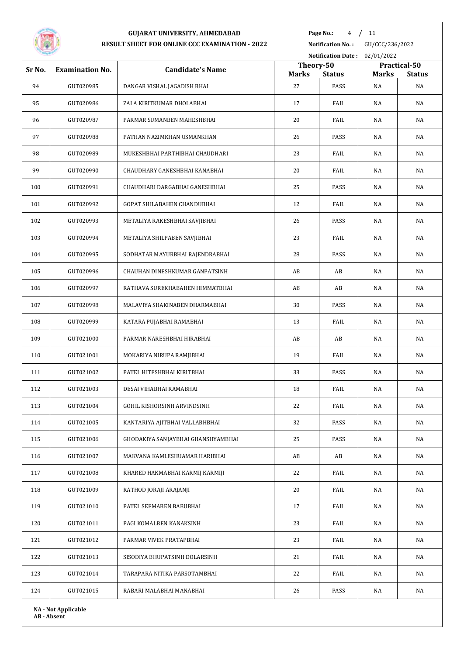

**Page No.:** 4 / 11

**Notification No. :** GU/CCC/236/2022 **Notification Date :** 02/01/2022

| Sr No. | <b>Examination No.</b>     | <b>Candidate's Name</b>            | Theory-50    |               |              | Practical-50  |
|--------|----------------------------|------------------------------------|--------------|---------------|--------------|---------------|
|        |                            |                                    | <b>Marks</b> | <b>Status</b> | <b>Marks</b> | <b>Status</b> |
| 94     | GUT020985                  | DANGAR VISHAL JAGADISH BHAI        | 27           | PASS          | NA           | NA            |
| 95     | GUT020986                  | ZALA KIRITKUMAR DHOLABHAI          | 17           | FAIL          | NA           | NA            |
| 96     | GUT020987                  | PARMAR SUMANBEN MAHESHBHAI         | 20           | FAIL          | NA           | NA            |
| 97     | GUT020988                  | PATHAN NAZIMKHAN USMANKHAN         | 26           | PASS          | NA           | NA            |
| 98     | GUT020989                  | MUKESHBHAI PARTHIBHAI CHAUDHARI    | 23           | FAIL          | NA           | NA            |
| 99     | GUT020990                  | CHAUDHARY GANESHBHAI KANABHAI      | 20           | FAIL          | NA           | NA            |
| 100    | GUT020991                  | CHAUDHARI DARGABHAI GANESHBHAI     | 25           | PASS          | NA           | NA            |
| 101    | GUT020992                  | GOPAT SHILABAHEN CHANDUBHAI        | 12           | FAIL          | NA           | NA            |
| 102    | GUT020993                  | METALIYA RAKESHBHAI SAVJIBHAI      | 26           | PASS          | NA           | NA            |
| 103    | GUT020994                  | METALIYA SHILPABEN SAVJIBHAI       | 23           | FAIL          | NA           | NA            |
| 104    | GUT020995                  | SODHATAR MAYURBHAI RAJENDRABHAI    | 28           | PASS          | NA           | NA            |
| 105    | GUT020996                  | CHAUHAN DINESHKUMAR GANPATSINH     | AB           | AB            | NA           | NA            |
| 106    | GUT020997                  | RATHAVA SUREKHABAHEN HIMMATBHAI    | AB           | AB            | NA           | NA            |
| 107    | GUT020998                  | MALAVIYA SHAKINABEN DHARMABHAI     | 30           | PASS          | NA           | NA            |
| 108    | GUT020999                  | KATARA PUJABHAI RAMABHAI           | 13           | FAIL          | NA           | NA            |
| 109    | GUT021000                  | PARMAR NARESHBHAI HIRABHAI         | AB           | AB            | NA           | NA            |
| 110    | GUT021001                  | MOKARIYA NIRUPA RAMJIBHAI          | 19           | FAIL          | NA           | NA            |
| 111    | GUT021002                  | PATEL HITESHBHAI KIRITBHAI         | 33           | PASS          | NA           | NA            |
| 112    | GUT021003                  | DESAI VIHABHAI RAMABHAI            | 18           | FAIL          | NA           | NA            |
| 113    | GUT021004                  | GOHIL KISHORSINH ARVINDSINH        | 22           | FAIL          | NA           | NA            |
| 114    | GUT021005                  | KANTARIYA AJITBHAI VALLABHBHAI     | 32           | PASS          | NA           | NA            |
| 115    | GUT021006                  | GHODAKIYA SANJAYBHAI GHANSHYAMBHAI | 25           | PASS          | NA           | NA            |
| 116    | GUT021007                  | MAKVANA KAMLESHUAMAR HARIBHAI      | AB           | AB            | NA           | NA            |
| 117    | GUT021008                  | KHARED HAKMABHAI KARMIJ KARMIJI    | 22           | FAIL          | NA           | NA            |
| 118    | GUT021009                  | RATHOD JORAJI ARAJANJI             | 20           | FAIL          | NA           | NA            |
| 119    | GUT021010                  | PATEL SEEMABEN BABUBHAI            | 17           | FAIL          | NA           | NA            |
| 120    | GUT021011                  | PAGI KOMALBEN KANAKSINH            | 23           | FAIL          | NA           | NA            |
| 121    | GUT021012                  | PARMAR VIVEK PRATAPBHAI            | 23           | FAIL          | NA           | NA            |
| 122    | GUT021013                  | SISODIYA BHUPATSINH DOLARSINH      | 21           | FAIL          | NA           | NA            |
| 123    | GUT021014                  | TARAPARA NITIKA PARSOTAMBHAI       | 22           | FAIL          | NA           | NA            |
| 124    | GUT021015                  | RABARI MALABHAI MANABHAI           | 26           | PASS          | NA           | NA            |
|        | <b>NA - Not Applicable</b> |                                    |              |               |              |               |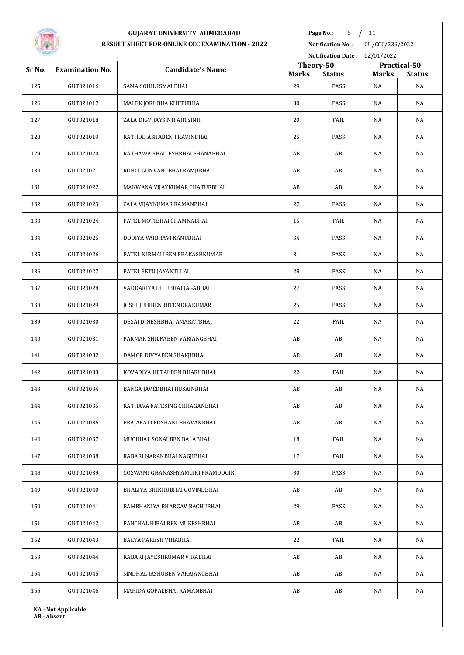

**Page No.:** / 11

|        |                            |                                   |                    |                        | Notification Date: 02/01/2022 |                     |  |
|--------|----------------------------|-----------------------------------|--------------------|------------------------|-------------------------------|---------------------|--|
| Sr No. | <b>Examination No.</b>     | <b>Candidate's Name</b>           | Theory-50          |                        |                               | Practical-50        |  |
| 125    | GUT021016                  | SAMA SOHIL ISMALBHAI              | <b>Marks</b><br>29 | <b>Status</b><br>PASS  | <b>Marks</b><br>NA            | <b>Status</b><br>NA |  |
| 126    | GUT021017                  | MALEK JORUBHA KHETUBHA            | 30                 | PASS                   | NA                            | NA                  |  |
| 127    | GUT021018                  | ZALA DIGVIJAYSINH AJITSINH        | 20                 | FAIL                   | NA                            | NA                  |  |
| 128    | GUT021019                  | RATHOD ASHABEN PRAVINBHAI         | 25                 | PASS                   | NA                            | NA                  |  |
| 129    | GUT021020                  | RATHAWA SHAILESHBHAI SHANABHAI    | AB                 | AB                     | NA                            | NA                  |  |
| 130    | GUT021021                  | ROHIT GUNVANTBHAI RAMJIBHAI       | AB                 | AB                     | NA                            | NA                  |  |
|        |                            |                                   |                    |                        |                               |                     |  |
| 131    | GUT021022                  | MAKWANA VIJAYKUMAR CHATURBHAI     | AB                 | AB                     | NA                            | NA                  |  |
| 132    | GUT021023                  | ZALA VIJAYKUMAR RAMANBHAI         | 27                 | PASS                   | NA                            | NA                  |  |
| 133    | GUT021024                  | PATEL MOTIBHAI CHAMNABHAI         | 15                 | FAIL                   | NA                            | NA                  |  |
| 134    | GUT021025                  | DODIYA VAIBHAVI KANUBHAI          | 34                 | PASS                   | NA                            | NA                  |  |
| 135    | GUT021026                  | PATEL NIRMALIBEN PRAKASHKUMAR     | 31                 | PASS                   | NA                            | NA                  |  |
| 136    | GUT021027                  | PATEL SETU JAYANTI LAL            | 28                 | PASS                   | NA                            | NA                  |  |
| 137    | GUT021028                  | VADDARIYA DILUBHAI JAGABHAI       | 27                 | PASS                   | NA                            | NA                  |  |
| 138    | GUT021029                  | JOSHI JUHIBEN HITENDRAKUMAR       | 25                 | PASS                   | NA                            | NA                  |  |
| 139    | GUT021030                  | DESAI DINESHBHAI AMARATBHAI       | 22                 | FAIL                   | NA                            | NA                  |  |
| 140    | GUT021031                  | PARMAR SHILPABEN VARJANGBHAI      | AB                 | AB                     | NA                            | NA                  |  |
| 141    | GUT021032                  | DAMOR DIVYABEN SHAKJIBHAI         | AB                 | AB                     | NA                            | NA                  |  |
| 142    | GUT021033                  | KOVADIYA HETALBEN BHARUBHAI       | 22                 | FAIL                   | NA                            | NA                  |  |
| 143    | GUT021034                  | BANGA JAVEDBHAI HUSAINBHAI        | AB                 | AB                     | NA                            | NA                  |  |
| 144    | GUT021035                  | RATHAVA FATESING CHHAGANBHAI      | AB                 | $\mathbf{A}\mathbf{B}$ | $_{\rm NA}$                   | NA                  |  |
| 145    | GUT021036                  | PRAJAPATI ROSHANI BHAVANBHAI      | AB                 | AB                     | NA                            | NA                  |  |
| 146    | GUT021037                  | MUCHHAL SONALBEN BALABHAI         | 18                 | FAIL                   | NA                            | NA                  |  |
| 147    | GUT021038                  | RABARI NARANBHAI NAGJIBHAI        | 17                 | FAIL                   | $_{\rm NA}$                   | NA                  |  |
| 148    | GUT021039                  | GOSWAMI GHANASHYAMGIRI PRAMODGIRI | 30                 | PASS                   | NA                            | NA                  |  |
| 149    | GUT021040                  | BHALIYA BHIKHUBHAI GOVINDBHAI     | AB                 | AB                     | NA                            | NA                  |  |
| 150    | GUT021041                  | BAMBHANIYA BHARGAV BACHUBHAI      | 29                 | PASS                   | NA                            | NA                  |  |
| 151    | GUT021042                  | PANCHAL HIRALBEN MUKESHBHAI       | AB                 | AB                     | NA                            | NA                  |  |
| 152    | GUT021043                  | BALYA PARESH VIHABHAI             | 22                 | FAIL                   | $_{\rm NA}$                   | NA                  |  |
| 153    | GUT021044                  | RABARI JAYESHKUMAR VIRABHAI       | AB                 | AB                     | NA                            | NA                  |  |
| 154    | GUT021045                  | SINDHAL JASHUBEN VARAJANGBHAI     | AB                 | AB                     | NA                            | NA                  |  |
| 155    | GUT021046                  | MAHIDA GOPALBHAI RAMANBHAI        | AB                 | AB                     | NA                            | NA                  |  |
|        | <b>NA - Not Applicable</b> |                                   |                    |                        |                               |                     |  |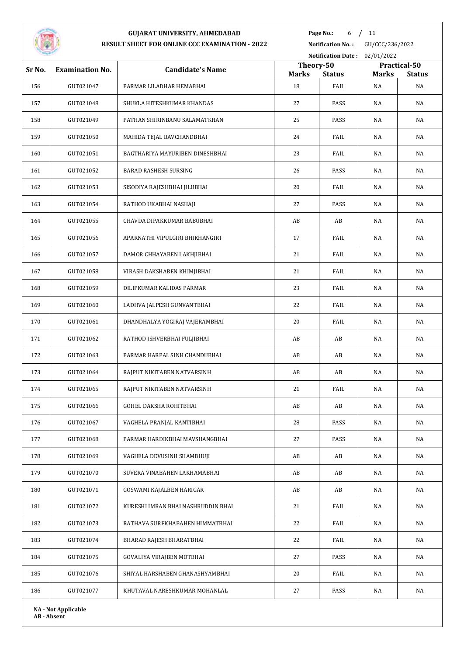

**Page No.:** 6 / 11

**Notification No. :** GU/CCC/236/2022

|        |                        |                                    |                           | <b>Notification Date:</b> | 02/01/2022   |                               |
|--------|------------------------|------------------------------------|---------------------------|---------------------------|--------------|-------------------------------|
| Sr No. | <b>Examination No.</b> | <b>Candidate's Name</b>            | Theory-50<br><b>Marks</b> | <b>Status</b>             | <b>Marks</b> | Practical-50<br><b>Status</b> |
| 156    | GUT021047              | PARMAR LILADHAR HEMABHAI           | 18                        | FAIL                      | NA           | NA                            |
| 157    | GUT021048              | SHUKLA HITESHKUMAR KHANDAS         | 27                        | PASS                      | NA           | NA                            |
| 158    | GUT021049              | PATHAN SHIRINBANU SALAMATKHAN      | 25                        | PASS                      | NA           | NA                            |
| 159    | GUT021050              | MAHIDA TEJAL BAVCHANDBHAI          | 24                        | FAIL                      | NA           | NA                            |
| 160    | GUT021051              | BAGTHARIYA MAYURIBEN DINESHBHAI    | 23                        | FAIL                      | NA           | NA                            |
| 161    | GUT021052              | BARAD RASHESH SURSING              | 26                        | PASS                      | NA           | NA                            |
| 162    | GUT021053              | SISODIYA RAJESHBHAI JILUBHAI       | 20                        | FAIL                      | NA           | NA                            |
| 163    | GUT021054              | RATHOD UKABHAI NASHAJI             | 27                        | PASS                      | NA           | NA                            |
| 164    | GUT021055              | CHAVDA DIPAKKUMAR BABUBHAI         | AB                        | AB                        | NA           | NA                            |
| 165    | GUT021056              | APARNATHI VIPULGIRI BHIKHANGIRI    | 17                        | FAIL                      | NA           | NA                            |
| 166    | GUT021057              | DAMOR CHHAYABEN LAKHJIBHAI         | 21                        | FAIL                      | NA           | NA                            |
| 167    | GUT021058              | VIRASH DAKSHABEN KHIMJIBHAI        | 21                        | FAIL                      | NA           | NA                            |
| 168    | GUT021059              | DILIPKUMAR KALIDAS PARMAR          | 23                        | FAIL                      | NA           | NA                            |
| 169    | GUT021060              | LADHVA JALPESH GUNVANTBHAI         | 22                        | FAIL                      | NA           | NA                            |
| 170    | GUT021061              | DHANDHALYA YOGIRAJ VAJERAMBHAI     | 20                        | FAIL                      | NA           | NA                            |
| 171    | GUT021062              | RATHOD ISHVERBHAI FULJIBHAI        | AB                        | AB                        | NA           | NA                            |
| 172    | GUT021063              | PARMAR HARPAL SINH CHANDUBHAI      | AB                        | AB                        | NA           | NA                            |
| 173    | GUT021064              | RAJPUT NIKITABEN NATVARSINH        | AB                        | AB                        | NA           | NA                            |
| 174    | GUT021065              | RAJPUT NIKITABEN NATVARSINH        | 21                        | FAIL                      | NA           | NA                            |
| 175    | GUT021066              | GOHEL DAKSHA ROHITBHAI             | AB                        | AB                        | NA           | NA                            |
| 176    | GUT021067              | VAGHELA PRANJAL KANTIBHAI          | 28                        | PASS                      | NA           | NA                            |
| 177    | GUT021068              | PARMAR HARDIKBHAI MAVSHANGBHAI     | 27                        | PASS                      | NA           | NA                            |
| 178    | GUT021069              | VAGHELA DEVUSINH SHAMBHUJI         | AB                        | AB                        | NA           | NA                            |
| 179    | GUT021070              | SUVERA VINABAHEN LAKHAMABHAI       | AB                        | AB                        | NA           | NA                            |
| 180    | GUT021071              | GOSWAMI KAJALBEN HARIGAR           | AB                        | AB                        | NA           | NA                            |
| 181    | GUT021072              | KURESHI IMRAN BHAI NASHRUDDIN BHAI | 21                        | FAIL                      | NA           | NA                            |
| 182    | GUT021073              | RATHAVA SUREKHABAHEN HIMMATBHAI    | 22                        | FAIL                      | NA           | NA                            |
| 183    | GUT021074              | BHARAD RAJESH BHARATBHAI           | 22                        | FAIL                      | NA           | NA                            |
| 184    | GUT021075              | GOVALIYA VIRAJBEN MOTBHAI          | 27                        | PASS                      | NA           | NA                            |
| 185    | GUT021076              | SHIYAL HARSHABEN GHANASHYAMBHAI    | 20                        | FAIL                      | NA           | NA                            |
| 186    | GUT021077              | KHUTAVAL NARESHKUMAR MOHANLAL      | 27                        | PASS                      | NA           | NA                            |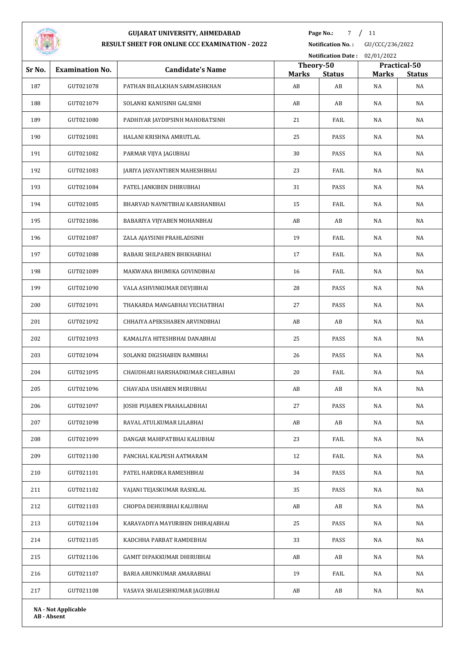

**Page No.:** 7 / 11

|        |                            |                                  |                    |                     | Notification Date: 02/01/2022 |                     |
|--------|----------------------------|----------------------------------|--------------------|---------------------|-------------------------------|---------------------|
| Sr No. | <b>Examination No.</b>     | <b>Candidate's Name</b>          | Theory-50          |                     |                               | Practical-50        |
| 187    | GUT021078                  | PATHAN BILALKHAN SARMASHKHAN     | <b>Marks</b><br>AB | <b>Status</b><br>AB | <b>Marks</b><br>NA            | <b>Status</b><br>NA |
| 188    | GUT021079                  | SOLANKI KANUSINH GALSINH         | AB                 | AB                  | NA                            | NA                  |
| 189    | GUT021080                  | PADHIYAR JAYDIPSINH MAHOBATSINH  | 21                 | FAIL                | NA                            | NA                  |
| 190    | GUT021081                  | HALANI KRISHNA AMRUTLAL          | 25                 | PASS                | NA                            | NA                  |
| 191    | GUT021082                  | PARMAR VIJYA JAGUBHAI            | 30                 | PASS                | NA                            | NA                  |
| 192    | GUT021083                  | JARIYA JASVANTIBEN MAHESHBHAI    | 23                 | FAIL                | NA                            | NA                  |
| 193    | GUT021084                  | PATEL JANKIBEN DHIRUBHAI         | 31                 | PASS                | NA                            | NA                  |
| 194    | GUT021085                  | BHARVAD NAVNITBHAI KARSHANBHAI   | 15                 | FAIL                | NA                            | NA                  |
| 195    | GUT021086                  | BABARIYA VIJYABEN MOHANBHAI      | AB                 | AB                  | NA                            | NA                  |
| 196    | GUT021087                  | ZALA AJAYSINH PRAHLADSINH        | 19                 | FAIL                | NA                            | NA                  |
| 197    | GUT021088                  | RABARI SHILPABEN BHIKHABHAI      | 17                 | FAIL                | NA                            | NA                  |
| 198    | GUT021089                  | MAKWANA BHUMIKA GOVINDBHAI       | 16                 | FAIL                | NA                            | NA                  |
| 199    | GUT021090                  | VALA ASHVINKUMAR DEVJIBHAI       | 28                 | PASS                | NA                            | NA                  |
| 200    | GUT021091                  | THAKARDA MANGABHAI VECHATBHAI    | 27                 | PASS                | NA                            | NA                  |
| 201    | GUT021092                  | CHHAIYA APEKSHABEN ARVINDBHAI    | AB                 | AB                  | NA                            | NA                  |
| 202    | GUT021093                  | KAMALIYA HITESHBHAI DANABHAI     | 25                 | PASS                | NA                            | NA                  |
| 203    | GUT021094                  | SOLANKI DIGISHABEN RAMBHAI       | 26                 | PASS                | NA                            | NA                  |
| 204    | GUT021095                  | CHAUDHARI HARSHADKUMAR CHELABHAI | 20                 | FAIL                | NA                            | NA                  |
| 205    | GUT021096                  | CHAVADA USHABEN MERUBHAI         | AB                 | AB                  | NA                            | NA                  |
| 206    | GUT021097                  | JOSHI PUJABEN PRAHALADBHAI       | 27                 | PASS                | NA                            | NA                  |
| 207    | GUT021098                  | RAVAL ATULKUMAR LILABHAI         | AB                 | AB                  | NA                            | NA                  |
| 208    | GUT021099                  | DANGAR MAHIPATBHAI KALUBHAI      | 23                 | FAIL                | NA                            | NA                  |
| 209    | GUT021100                  | PANCHAL KALPESH AATMARAM         | 12                 | FAIL                | NA                            | NA                  |
| 210    | GUT021101                  | PATEL HARDIKA RAMESHBHAI         | 34                 | PASS                | NA                            | NA                  |
| 211    | GUT021102                  | VAJANI TEJASKUMAR RASIKLAL       | 35                 | PASS                | NA                            | NA                  |
| 212    | GUT021103                  | CHOPDA DEHURBHAI KALUBHAI        | AB                 | AB                  | NA                            | NA                  |
| 213    | GUT021104                  | KARAVADIYA MAYURIBEN DHIRAJABHAI | 25                 | PASS                | NA                            | NA                  |
| 214    | GUT021105                  | KADCHHA PARBAT RAMDEBHAI         | 33                 | PASS                | NA                            | NA                  |
| 215    | GUT021106                  | GAMIT DIPAKKUMAR DHIRUBHAI       | AB                 | AB                  | NA                            | NA                  |
| 216    | GUT021107                  | BARIA ARUNKUMAR AMARABHAI        | 19                 | FAIL                | NA                            | NA                  |
| 217    | GUT021108                  | VASAVA SHAILESHKUMAR JAGUBHAI    | AB                 | AB                  | NA                            | NA                  |
|        | <b>NA - Not Applicable</b> |                                  |                    |                     |                               |                     |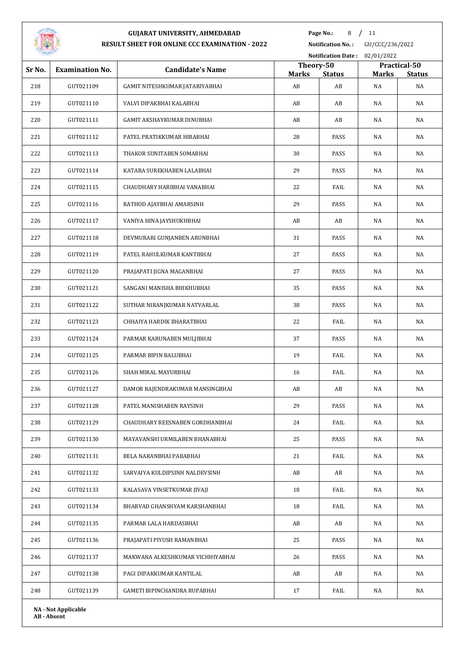

**Page No.:** 8 / 11

|        |                        |                                  |                           | Notification Date: 02/01/2022 |              |                               |
|--------|------------------------|----------------------------------|---------------------------|-------------------------------|--------------|-------------------------------|
| Sr No. | <b>Examination No.</b> | <b>Candidate's Name</b>          | Theory-50<br><b>Marks</b> | <b>Status</b>                 | <b>Marks</b> | Practical-50<br><b>Status</b> |
| 218    | GUT021109              | GAMIT NITESHKUMAR JATARIYABHAI   | AB                        | AB                            | NA           | NA                            |
| 219    | GUT021110              | VALVI DIPAKBHAI KALABHAI         | AB                        | AB                            | NA           | NA                            |
| 220    | GUT021111              | GAMIT AKSHAYKUMAR DINUBHAI       | AB                        | AB                            | NA           | NA                            |
| 221    | GUT021112              | PATEL PRATIKKUMAR HIRABHAI       | 28                        | PASS                          | NA           | NA                            |
| 222    | GUT021113              | THAKOR SUNITABEN SOMABHAI        | 30                        | PASS                          | NA           | NA                            |
| 223    | GUT021114              | KATARA SUREKHABEN LALABHAI       | 29                        | PASS                          | NA           | NA                            |
| 224    | GUT021115              | CHAUDHARY HARIBHAI VANABHAI      | 22                        | FAIL                          | NA           | NA                            |
| 225    | GUT021116              | RATHOD AJAYBHAI AMARSINH         | 29                        | PASS                          | NA           | NA                            |
| 226    | GUT021117              | VANIYA HINA JAYSHUKHBHAI         | AB                        | AB                            | NA           | NA                            |
| 227    | GUT021118              | DEVMURARI GUNJANBEN ARUNBHAI     | 31                        | PASS                          | NA           | NA                            |
| 228    | GUT021119              | PATEL RAHULKUMAR KANTIBHAI       | 27                        | PASS                          | NA           | NA                            |
| 229    | GUT021120              | PRAJAPATI JIGNA MAGANBHAI        | 27                        | PASS                          | NA           | NA                            |
| 230    | GUT021121              | SANGANI MANISHA BHIKHUBHAI       | 35                        | PASS                          | NA           | NA                            |
| 231    | GUT021122              | SUTHAR NIRANJKUMAR NATVARLAL     | 38                        | PASS                          | NA           | NA                            |
| 232    | GUT021123              | CHHAIYA HARDIK BHARATBHAI        | 22                        | FAIL                          | NA           | NA                            |
| 233    | GUT021124              | PARMAR KARUNABEN MULJIBHAI       | 37                        | PASS                          | NA           | NA                            |
| 234    | GUT021125              | PARMAR BIPIN BALUBHAI            | 19                        | FAIL                          | NA           | NA                            |
| 235    | GUT021126              | SHAH MIRAL MAYURBHAI             | 16                        | FAIL                          | NA           | NA                            |
| 236    | GUT021127              | DAMOR RAJENDRAKUMAR MANSINGBHAI  | AB                        | AB                            | NA           | NA                            |
| 237    | GUT021128              | PATEL MANISHABEN RAYSINH         | 29                        | PASS                          | NA           | NA                            |
| 238    | GUT021129              | CHAUDHARY REESNABEN GORDHANBHAI  | 24                        | FAIL                          | NA           | NA                            |
| 239    | GUT021130              | MAYAVANSHI URMILABEN BHANABHAI   | 25                        | PASS                          | NA           | NA                            |
| 240    | GUT021131              | BELA NARANBHAI PABABHAI          | 21                        | FAIL                          | NA           | NA                            |
| 241    | GUT021132              | SARVAIYA KULDIPSINH NALDEVSINH   | AB                        | AB                            | NA           | NA                            |
| 242    | GUT021133              | KALASAVA VINSETKUMAR JIVAJI      | 18                        | FAIL                          | NA           | NA                            |
| 243    | GUT021134              | BHARVAD GHANSHYAM KARSHANBHAI    | 18                        | FAIL                          | NA           | NA                            |
| 244    | GUT021135              | PARMAR LALA HARDASBHAI           | AB                        | AB                            | NA           | NA                            |
| 245    | GUT021136              | PRAJAPATI PIYUSH RAMANBHAI       | 25                        | PASS                          | NA           | NA                            |
| 246    | GUT021137              | MAKWANA ALKESHKUMAR VICHHIYABHAI | 26                        | PASS                          | NA           | NA                            |
| 247    | GUT021138              | PAGI DIPAKKUMAR KANTILAL         | AB                        | AB                            | NA           | NA                            |
| 248    | GUT021139              | GAMETI BIPINCHANDRA RUPABHAI     | 17                        | FAIL                          | NA           | NA                            |
|        |                        |                                  |                           |                               |              |                               |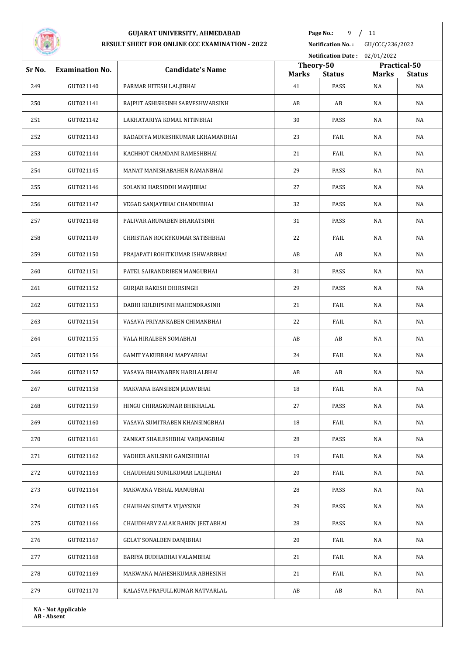

**Page No.:** 9 / 11

**Notification No. :** GU/CCC/236/2022

|        |                            |                                  |                    | <b>Notification Date:</b> | 02/01/2022         |                     |
|--------|----------------------------|----------------------------------|--------------------|---------------------------|--------------------|---------------------|
| Sr No. | <b>Examination No.</b>     | <b>Candidate's Name</b>          | Theory-50          |                           |                    | Practical-50        |
| 249    | GUT021140                  | PARMAR HITESH LALJIBHAI          | <b>Marks</b><br>41 | <b>Status</b><br>PASS     | <b>Marks</b><br>NA | <b>Status</b><br>NA |
| 250    | GUT021141                  | RAJPUT ASHISHSINH SARVESHWARSINH | AB                 | AB                        | NA                 | NA                  |
| 251    | GUT021142                  | LAKHATARIYA KOMAL NITINBHAI      | 30                 | PASS                      | NA                 | NA                  |
| 252    | GUT021143                  | RADADIYA MUKESHKUMAR LKHAMANBHAI | 23                 | FAIL                      | NA                 | NA                  |
| 253    | GUT021144                  | KACHHOT CHANDANI RAMESHBHAI      | 21                 | FAIL                      | NA                 | NA                  |
| 254    | GUT021145                  | MANAT MANISHABAHEN RAMANBHAI     | 29                 | PASS                      | NA                 | NA                  |
|        |                            |                                  |                    |                           |                    |                     |
| 255    | GUT021146                  | SOLANKI HARSIDDH MAVJIBHAI       | 27                 | PASS                      | NA                 | NA                  |
| 256    | GUT021147                  | VEGAD SANJAYBHAI CHANDUBHAI      | 32                 | PASS                      | NA                 | NA                  |
| 257    | GUT021148                  | PALIVAR ARUNABEN BHARATSINH      | 31                 | PASS                      | NA                 | NA                  |
| 258    | GUT021149                  | CHRISTIAN ROCKYKUMAR SATISHBHAI  | 22                 | FAIL                      | NA                 | NA                  |
| 259    | GUT021150                  | PRAJAPATI ROHITKUMAR ISHWARBHAI  | AB                 | AB                        | NA                 | NA                  |
| 260    | GUT021151                  | PATEL SAIRANDRIBEN MANGUBHAI     | 31                 | PASS                      | NA                 | NA                  |
| 261    | GUT021152                  | GURJAR RAKESH DHIRSINGH          | 29                 | PASS                      | NA                 | NA                  |
| 262    | GUT021153                  | DABHI KULDIPSINH MAHENDRASINH    | 21                 | FAIL                      | NA                 | NA                  |
| 263    | GUT021154                  | VASAVA PRIYANKABEN CHIMANBHAI    | 22                 | FAIL                      | NA                 | NA                  |
| 264    | GUT021155                  | VALA HIRALBEN SOMABHAI           | AB                 | AB                        | NA                 | NA                  |
| 265    | GUT021156                  | GAMIT YAKUBBHAI MAPYABHAI        | 24                 | FAIL                      | NA                 | NA                  |
| 266    | GUT021157                  | VASAVA BHAVNABEN HARILALBHAI     | AB                 | AB                        | NA                 | NA                  |
| 267    | GUT021158                  | MAKVANA BANSIBEN JADAVBHAI       | 18                 | FAIL                      | NA                 | NA                  |
| 268    | GUT021159                  | HINGU CHIRAGKUMAR BHIKHALAL      | 27                 | PASS                      | NA                 | NA                  |
| 269    | GUT021160                  | VASAVA SUMITRABEN KHANSINGBHAI   | 18                 | FAIL                      | NA                 | NA                  |
| 270    | GUT021161                  | ZANKAT SHAILESHBHAI VARJANGBHAI  | 28                 | PASS                      | NA                 | NA                  |
| 271    | GUT021162                  | VADHER ANILSINH GANESHBHAI       | 19                 | FAIL                      | NA                 | NA                  |
| 272    | GUT021163                  | CHAUDHARI SUNILKUMAR LALJIBHAI   | 20                 | FAIL                      | NA                 | NA                  |
| 273    | GUT021164                  | MAKWANA VISHAL MANUBHAI          | 28                 | PASS                      | NA                 | NA                  |
| 274    | GUT021165                  | CHAUHAN SUMITA VIJAYSINH         | 29                 | PASS                      | NA                 | NA                  |
| 275    | GUT021166                  | CHAUDHARY ZALAK BAHEN JEETABHAI  | 28                 | PASS                      | NA                 | NA                  |
| 276    | GUT021167                  | <b>GELAT SONALBEN DANJIBHAI</b>  | 20                 | FAIL                      | NA                 | NA                  |
| 277    | GUT021168                  | BARIYA BUDHABHAI VALAMBHAI       | 21                 | FAIL                      | NA                 | NA                  |
| 278    | GUT021169                  | MAKWANA MAHESHKUMAR ABHESINH     | 21                 | FAIL                      | NA                 | NA                  |
| 279    | GUT021170                  | KALASVA PRAFULLKUMAR NATVARLAL   | AB                 | AB                        | NA                 | NA                  |
|        | <b>NA - Not Applicable</b> |                                  |                    |                           |                    |                     |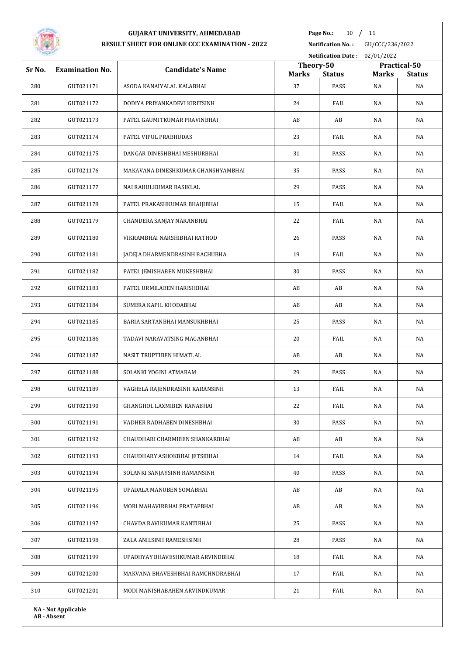

**Page No.:** 10 / 11

**Notification No. :** GU/CCC/236/2022 **Notification Date :** 02/01/2022

|        |                            |                                    | Theory-50    |               |              | Practical-50  |
|--------|----------------------------|------------------------------------|--------------|---------------|--------------|---------------|
| Sr No. | <b>Examination No.</b>     | <b>Candidate's Name</b>            | <b>Marks</b> | <b>Status</b> | <b>Marks</b> | <b>Status</b> |
| 280    | GUT021171                  | ASODA KANAIYALAL KALABHAI          | 37           | PASS          | NA           | NA            |
| 281    | GUT021172                  | DODIYA PRIYANKADEVI KIRITSINH      | 24           | FAIL          | NA           | NA            |
| 282    | GUT021173                  | PATEL GAUMITKUMAR PRAVINBHAI       | AB           | AB            | NA           | NA            |
| 283    | GUT021174                  | PATEL VIPUL PRABHUDAS              | 23           | FAIL          | NA           | NA            |
| 284    | GUT021175                  | DANGAR DINESHBHAI MESHURBHAI       | 31           | PASS          | NA           | NA            |
| 285    | GUT021176                  | MAKAVANA DINESHKUMAR GHANSHYAMBHAI | 35           | PASS          | NA           | NA            |
| 286    | GUT021177                  | NAI RAHULKUMAR RASIKLAL            | 29           | PASS          | NA           | NA            |
| 287    | GUT021178                  | PATEL PRAKASHKUMAR BHAIJIBHAI      | 15           | FAIL          | NA           | NA            |
| 288    | GUT021179                  | CHANDERA SANJAY NARANBHAI          | 22           | FAIL          | NA           | NA            |
| 289    | GUT021180                  | VIKRAMBHAI NARSHIBHAI RATHOD       | 26           | PASS          | NA           | NA            |
| 290    | GUT021181                  | JADEJA DHARMENDRASINH BACHUBHA     | 19           | FAIL          | NA           | NA            |
| 291    | GUT021182                  | PATEL JEMISHABEN MUKESHBHAI        | 30           | PASS          | NA           | NA            |
| 292    | GUT021183                  | PATEL URMILABEN HARISHBHAI         | AB           | AB            | NA           | NA            |
| 293    | GUT021184                  | SUMERA KAPIL KHODABHAI             | AB           | AB            | NA           | NA            |
| 294    | GUT021185                  | BARIA SARTANBHAI MANSUKHBHAI       | 25           | PASS          | NA           | NA            |
| 295    | GUT021186                  | TADAVI NARAVATSING MAGANBHAI       | 20           | FAIL          | NA           | NA            |
| 296    | GUT021187                  | NASIT TRUPTIBEN HIMATLAL           | AB           | AB            | NA           | NA            |
| 297    | GUT021188                  | SOLANKI YOGINI ATMARAM             | 29           | PASS          | NA           | NA            |
| 298    | GUT021189                  | VAGHELA RAJENDRASINH KARANSINH     | 13           | FAIL          | NA           | NA            |
| 299    | GUT021190                  | GHANGHOL LAXMIBEN RANABHAI         | 22           | FAIL          | NA           | NA            |
| 300    | GUT021191                  | VADHER RADHABEN DINESHBHAI         | 30           | PASS          | NA           | NA            |
| 301    | GUT021192                  | CHAUDHARI CHARMIBEN SHANKARBHAI    | AB           | AB            | NA           | NA            |
| 302    | GUT021193                  | CHAUDHARY ASHOKBHAI JETSIBHAI      | 14           | FAIL          | NA           | NA            |
| 303    | GUT021194                  | SOLANKI SANJAYSINH RAMANSINH       | 40           | PASS          | NA           | NA            |
| 304    | GUT021195                  | UPADALA MANUBEN SOMABHAI           | AB           | AB            | NA           | NA            |
| 305    | GUT021196                  | MORI MAHAVIRBHAI PRATAPBHAI        | AB           | AB            | NA           | NA            |
| 306    | GUT021197                  | CHAVDA RAVIKUMAR KANTIBHAI         | 25           | PASS          | NA           | NA            |
| 307    | GUT021198                  | ZALA ANILSINH RAMESHSINH           | 28           | PASS          | NA           | NA            |
| 308    | GUT021199                  | UPADHYAY BHAVESHKUMAR ARVINDBHAI   | 18           | FAIL          | NA           | NA            |
| 309    | GUT021200                  | MAKVANA BHAVESHBHAI RAMCHNDRABHAI  | 17           | FAIL          | NA           | NA            |
| 310    | GUT021201                  | MODI MANISHABAHEN ARVINDKUMAR      | 21           | FAIL          | NA           | NA            |
|        | <b>NA - Not Applicable</b> |                                    |              |               |              |               |